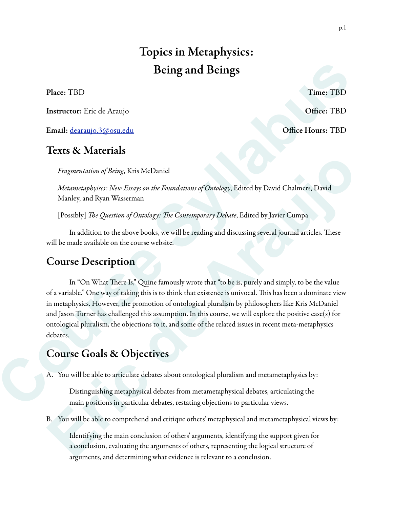# Topics in Metaphysics: Being and Beings

Place: TBD Time: TBD Time: TBD

Instructor: Eric de Araujo **Office: TBD** 

Email: dearaujo.3@osu.edu Office Hours: TBD

### Texts & Materials

*Fragmentation of Being*, Kris McDaniel

*Metametaphyiscs: New Essays on the Foundations of Ontology*, Edited by David Chalmers, David Manley, and Ryan Wasserman

[Possibly] *The Question of Ontology: The Contemporary Debate*, Edited by Javier Cumpa

In addition to the above books, we will be reading and discussing several journal articles. These will be made available on the course website.

## Course Description

In "On What There Is," Quine famously wrote that "to be is, purely and simply, to be the value of a variable." One way of taking this is to think that existence is univocal. Tis has been a dominate view in metaphysics. However, the promotion of ontological pluralism by philosophers like Kris McDaniel and Jason Turner has challenged this assumption. In this course, we will explore the positive case(s) for ontological pluralism, the objections to it, and some of the related issues in recent meta-metaphysics debates. **Course Syllabus Being and Beings<br>
Place: TBD**<br> **Concert Etheration Civics**<br> **Confect TBD**<br> **Concert Etheration And Concert Etheration**<br> **Confect TBD**<br> **Concert Etheration And Concert Etheration of Reing so the Frontantion** *Eragmentation of Being*. Kris McDaniel<br> *Metametaphyises: New Essays on the Foundations of Ontology*, Edited by David Chalmers, David<br>
Manley, and Byan Wasserman<br>
[Possibly] *The Question of Ontology: The Contemporary Deb* 

## Course Goals & Objectives

A. You will be able to articulate debates about ontological pluralism and metametaphysics by:

Distinguishing metaphysical debates from metametaphysical debates, articulating the main positions in particular debates, restating objections to particular views.

B. You will be able to comprehend and critique others' metaphysical and metametaphysical views by:

Identifying the main conclusion of others' arguments, identifying the support given for a conclusion, evaluating the arguments of others, representing the logical structure of arguments, and determining what evidence is relevant to a conclusion.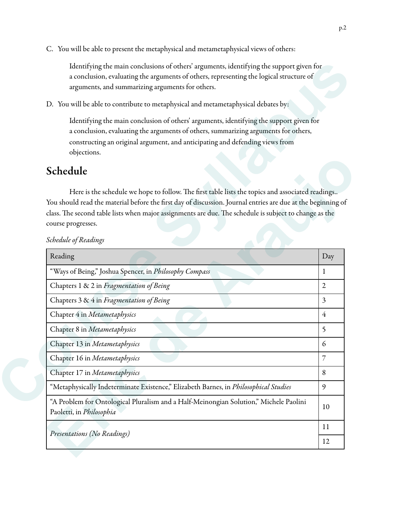C. You will be able to present the metaphysical and metametaphysical views of others:

### Schedule

| Identifying the main conclusions of others' arguments, identifying the support given for<br>a conclusion, evaluating the arguments of others, representing the logical structure of<br>arguments, and summarizing arguments for others.                                       |                |
|-------------------------------------------------------------------------------------------------------------------------------------------------------------------------------------------------------------------------------------------------------------------------------|----------------|
| D. You will be able to contribute to metaphysical and metametaphysical debates by:                                                                                                                                                                                            |                |
| Identifying the main conclusion of others' arguments, identifying the support given for<br>a conclusion, evaluating the arguments of others, summarizing arguments for others,<br>constructing an original argument, and anticipating and defending views from<br>objections. |                |
| Schedule                                                                                                                                                                                                                                                                      |                |
| You should read the material before the first day of discussion. Journal entries are due at the beginning of<br>class. The second table lists when major assignments are due. The schedule is subject to change as the<br>course progresses.<br>Schedule of Readings          |                |
|                                                                                                                                                                                                                                                                               |                |
| Reading                                                                                                                                                                                                                                                                       |                |
| "Ways of Being," Joshua Spencer, in Philosophy Compass                                                                                                                                                                                                                        | $\mathbf{1}$   |
| Chapters 1 & 2 in Fragmentation of Being                                                                                                                                                                                                                                      | $\overline{2}$ |
| Chapters 3 & 4 in Fragmentation of Being                                                                                                                                                                                                                                      | $\overline{3}$ |
| Chapter 4 in Metametaphysics                                                                                                                                                                                                                                                  | $\overline{4}$ |
| Chapter 8 in Metametaphysics                                                                                                                                                                                                                                                  | 5              |
| Chapter 13 in Metametaphysics                                                                                                                                                                                                                                                 | 6              |
| Chapter 16 in Metametaphysics                                                                                                                                                                                                                                                 | 7              |
| Chapter 17 in Metametaphysics                                                                                                                                                                                                                                                 | Day<br>8       |
| "Metaphysically Indeterminate Existence," Elizabeth Barnes, in Philosophical Studies                                                                                                                                                                                          | 9              |
| "A Problem for Ontological Pluralism and a Half-Meinongian Solution," Michele Paolini<br>Paoletti, in Philosophia                                                                                                                                                             | 10             |
| Presentations (No Readings)                                                                                                                                                                                                                                                   | 11             |

#### *Schedule of Readings*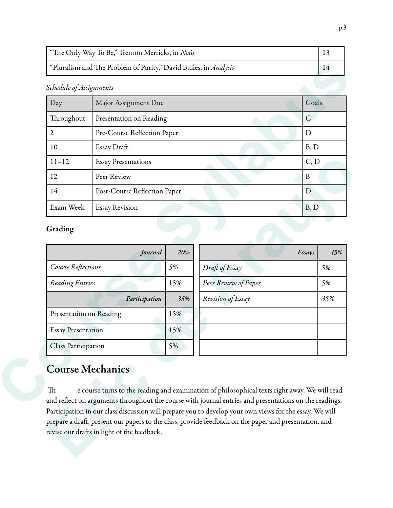| Schedule of Assignments            |                              |                             |                      |                |              |  |
|------------------------------------|------------------------------|-----------------------------|----------------------|----------------|--------------|--|
| Day                                | Major Assignment Due         |                             |                      |                | Goals        |  |
| Throughout                         | Presentation on Reading      |                             |                      | $\overline{C}$ |              |  |
| $\overline{2}$                     |                              | Pre-Course Reflection Paper |                      |                | $\mathbf D$  |  |
| 10                                 | Essay Draft                  |                             |                      |                | B, D<br>C, D |  |
| $11 - 12$                          | <b>Essay Presentations</b>   |                             |                      |                |              |  |
| 12                                 | Peer Review                  |                             |                      | $\, {\bf B}$   |              |  |
|                                    | Post-Course Reflection Paper |                             |                      |                |              |  |
| 14                                 |                              |                             |                      | D              |              |  |
| Exam Week                          | <b>Essay Revision</b>        |                             |                      | B, D           |              |  |
|                                    | Journal                      | 20%                         |                      | Essays         | 45%          |  |
| Course Reflections                 |                              | 5%                          | Draft of Essay       |                | 5%           |  |
| Reading Entries                    |                              | 15%                         | Peer Review of Paper |                | 5%           |  |
|                                    | Participation                | 35%                         | Revision of Essay    |                | 35%          |  |
| Grading<br>Presentation on Reading |                              | 15%                         |                      |                |              |  |
| <b>Essay Presentation</b>          |                              | 15%                         |                      |                |              |  |

### Grading

| $11 - 12$                     | C, D<br><b>Essay Presentations</b>          |     |                                                                                                                                                                                                                                                                                                                                                                                                                             |               |  |
|-------------------------------|---------------------------------------------|-----|-----------------------------------------------------------------------------------------------------------------------------------------------------------------------------------------------------------------------------------------------------------------------------------------------------------------------------------------------------------------------------------------------------------------------------|---------------|--|
| 12                            | Peer Review<br>$\mathbf{B}$                 |     |                                                                                                                                                                                                                                                                                                                                                                                                                             |               |  |
| 14                            | Post-Course Reflection Paper<br>D           |     |                                                                                                                                                                                                                                                                                                                                                                                                                             |               |  |
| Exam Week                     | B, D<br><b>Essay Revision</b>               |     |                                                                                                                                                                                                                                                                                                                                                                                                                             |               |  |
| Grading                       |                                             |     |                                                                                                                                                                                                                                                                                                                                                                                                                             |               |  |
|                               | Journal                                     | 20% |                                                                                                                                                                                                                                                                                                                                                                                                                             | 45%<br>Essays |  |
| Course Reflections            |                                             | 5%  | Draft of Essay                                                                                                                                                                                                                                                                                                                                                                                                              | 5%            |  |
| Reading Entries               |                                             | 15% | Peer Review of Paper                                                                                                                                                                                                                                                                                                                                                                                                        | 5%            |  |
|                               | Participation                               | 35% | Revision of Essay                                                                                                                                                                                                                                                                                                                                                                                                           | 35%           |  |
| Presentation on Reading       |                                             | 15% |                                                                                                                                                                                                                                                                                                                                                                                                                             |               |  |
| <b>Essay Presentation</b>     |                                             | 15% |                                                                                                                                                                                                                                                                                                                                                                                                                             |               |  |
| <b>Class Participation</b>    |                                             | 5%  |                                                                                                                                                                                                                                                                                                                                                                                                                             |               |  |
| <b>Course Mechanics</b><br>Th | revise our drafts in light of the feedback. |     | e course turns to the reading and examination of philosophical texts right away. We will read<br>and reflect on arguments throughout the course with journal entries and presentations on the readings.<br>Participation in our class discussion will prepare you to develop your own views for the essay. We will<br>prepare a draft, present our papers to the class, provide feedback on the paper and presentation, and |               |  |

# Course Mechanics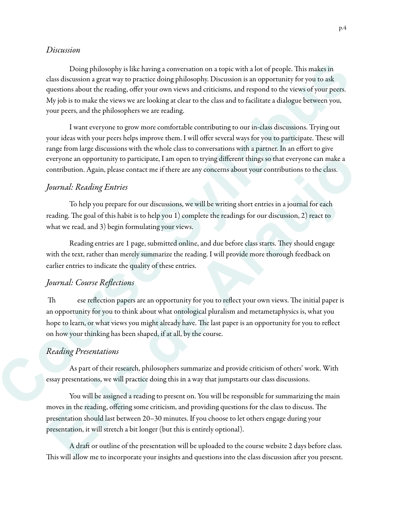#### *Discussion*

Doing philosophy is like having a conversation on a topic with a lot of people. This makes in class discussion a great way to practice doing philosophy. Discussion is an opportunity for you to ask questions about the reading, offer your own views and criticisms, and respond to the views of your peers. My job is to make the views we are looking at clear to the class and to facilitate a dialogue between you, your peers, and the philosophers we are reading. Doing philosophy is like having a conversation on a topic with a lot of people. This makes in distribution a great way to paractive doing philosophy. Distantion for operations and operation is to proprese the questions abo

 I want everyone to grow more comfortable contributing to our in-class discussions. Trying out your ideas with your peers helps improve them. I will offer several ways for you to participate. These will range from large discussions with the whole class to conversations with a partner. In an effort to give everyone an opportunity to participate, I am open to trying different things so that everyone can make a contribution. Again, please contact me if there are any concerns about your contributions to the class.

#### *Journal: Reading Entries*

 To help you prepare for our discussions, we will be writing short entries in a journal for each reading. The goal of this habit is to help you 1) complete the readings for our discussion, 2) react to what we read, and 3) begin formulating your views.

Reading entries are 1 page, submitted online, and due before class starts. They should engage with the text, rather than merely summarize the reading. I will provide more thorough feedback on earlier entries to indicate the quality of these entries.

#### *Journal: Course Re*fl*ections*

Th ese reflection papers are an opportunity for you to reflect your own views. The initial paper is an opportunity for you to think about what ontological pluralism and metametaphysics is, what you hope to learn, or what views you might already have. The last paper is an opportunity for you to reflect on how your thinking has been shaped, if at all, by the course. everyone an opportunity to participate, I am open to trying different things so that everyone can make a<br>contribution. Again, please contact me if there are any concerns about your contributions to the class.<br> *Journal:* R

#### *Reading Presentations*

 As part of their research, philosophers summarize and provide criticism of others' work. With essay presentations, we will practice doing this in a way that jumpstarts our class discussions.

 You will be assigned a reading to present on. You will be responsible for summarizing the main moves in the reading, offering some criticism, and providing questions for the class to discuss. The presentation should last between 20–30 minutes. If you choose to let others engage during your presentation, it will stretch a bit longer (but this is entirely optional).

A draft or outline of the presentation will be uploaded to the course website 2 days before class. This will allow me to incorporate your insights and questions into the class discussion after you present.